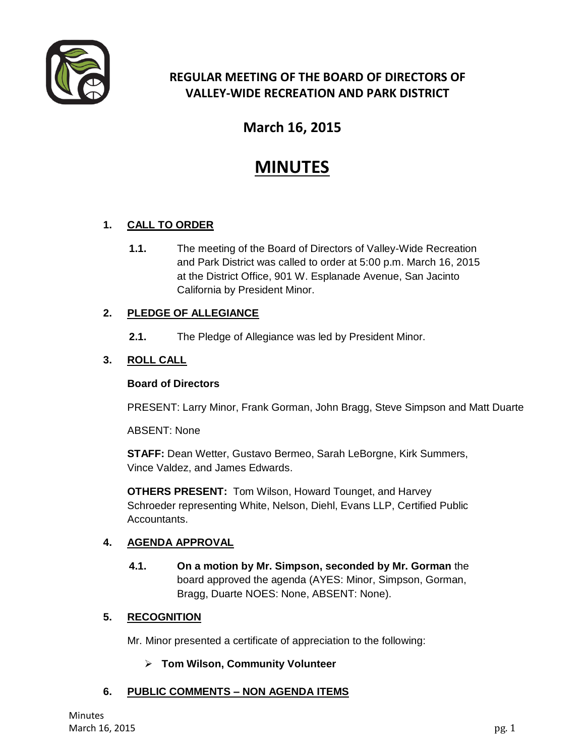

# **REGULAR MEETING OF THE BOARD OF DIRECTORS OF VALLEY-WIDE RECREATION AND PARK DISTRICT**

# **March 16, 2015**

# **MINUTES**

# **1. CALL TO ORDER**

**1.1.** The meeting of the Board of Directors of Valley-Wide Recreation and Park District was called to order at 5:00 p.m. March 16, 2015 at the District Office, 901 W. Esplanade Avenue, San Jacinto California by President Minor.

# **2. PLEDGE OF ALLEGIANCE**

**2.1.** The Pledge of Allegiance was led by President Minor.

# **3. ROLL CALL**

#### **Board of Directors**

PRESENT: Larry Minor, Frank Gorman, John Bragg, Steve Simpson and Matt Duarte

ABSENT: None

**STAFF:** Dean Wetter, Gustavo Bermeo, Sarah LeBorgne, Kirk Summers, Vince Valdez, and James Edwards.

**OTHERS PRESENT:** Tom Wilson, Howard Tounget, and Harvey Schroeder representing White, Nelson, Diehl, Evans LLP, Certified Public Accountants.

#### **4. AGENDA APPROVAL**

**4.1. On a motion by Mr. Simpson, seconded by Mr. Gorman** the board approved the agenda (AYES: Minor, Simpson, Gorman, Bragg, Duarte NOES: None, ABSENT: None).

#### **5. RECOGNITION**

Mr. Minor presented a certificate of appreciation to the following:

#### **Tom Wilson, Community Volunteer**

# **6. PUBLIC COMMENTS – NON AGENDA ITEMS**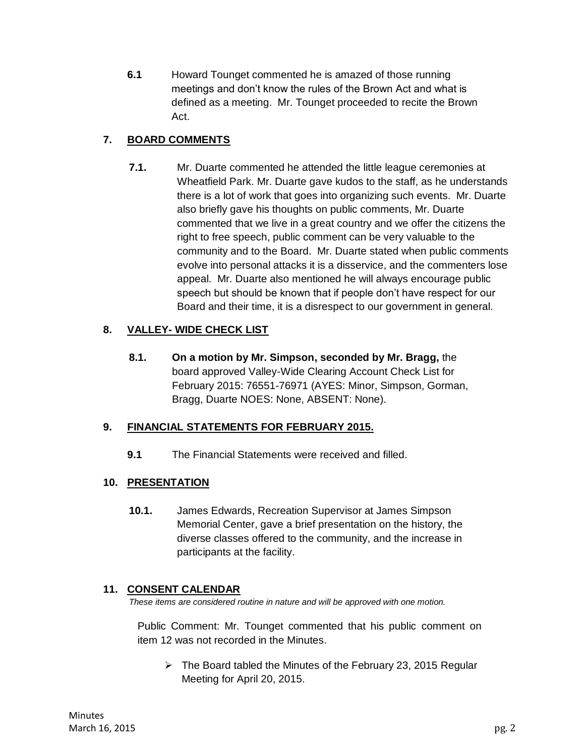**6.1** Howard Tounget commented he is amazed of those running meetings and don't know the rules of the Brown Act and what is defined as a meeting. Mr. Tounget proceeded to recite the Brown Act.

# **7. BOARD COMMENTS**

**7.1.** Mr. Duarte commented he attended the little league ceremonies at Wheatfield Park. Mr. Duarte gave kudos to the staff, as he understands there is a lot of work that goes into organizing such events. Mr. Duarte also briefly gave his thoughts on public comments, Mr. Duarte commented that we live in a great country and we offer the citizens the right to free speech, public comment can be very valuable to the community and to the Board. Mr. Duarte stated when public comments evolve into personal attacks it is a disservice, and the commenters lose appeal. Mr. Duarte also mentioned he will always encourage public speech but should be known that if people don't have respect for our Board and their time, it is a disrespect to our government in general.

# **8. VALLEY- WIDE CHECK LIST**

**8.1. On a motion by Mr. Simpson, seconded by Mr. Bragg,** the board approved Valley-Wide Clearing Account Check List for February 2015: 76551-76971 (AYES: Minor, Simpson, Gorman, Bragg, Duarte NOES: None, ABSENT: None).

# **9. FINANCIAL STATEMENTS FOR FEBRUARY 2015.**

**9.1** The Financial Statements were received and filled.

# **10. PRESENTATION**

**10.1.** James Edwards, Recreation Supervisor at James Simpson Memorial Center, gave a brief presentation on the history, the diverse classes offered to the community, and the increase in participants at the facility.

#### **11. CONSENT CALENDAR**

*These items are considered routine in nature and will be approved with one motion.* 

Public Comment: Mr. Tounget commented that his public comment on item 12 was not recorded in the Minutes.

 $\triangleright$  The Board tabled the Minutes of the February 23, 2015 Regular Meeting for April 20, 2015.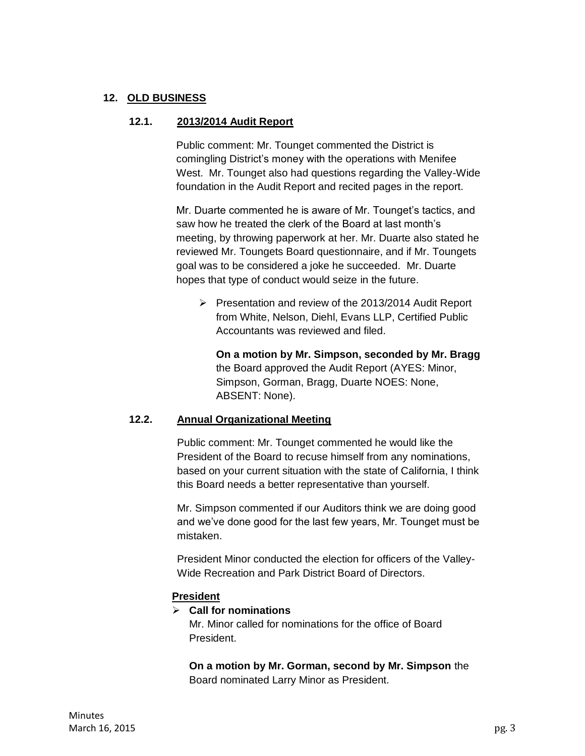#### **12. OLD BUSINESS**

#### **12.1. 2013/2014 Audit Report**

Public comment: Mr. Tounget commented the District is comingling District's money with the operations with Menifee West. Mr. Tounget also had questions regarding the Valley-Wide foundation in the Audit Report and recited pages in the report.

Mr. Duarte commented he is aware of Mr. Tounget's tactics, and saw how he treated the clerk of the Board at last month's meeting, by throwing paperwork at her. Mr. Duarte also stated he reviewed Mr. Toungets Board questionnaire, and if Mr. Toungets goal was to be considered a joke he succeeded. Mr. Duarte hopes that type of conduct would seize in the future.

 $\triangleright$  Presentation and review of the 2013/2014 Audit Report from White, Nelson, Diehl, Evans LLP, Certified Public Accountants was reviewed and filed.

**On a motion by Mr. Simpson, seconded by Mr. Bragg**  the Board approved the Audit Report (AYES: Minor, Simpson, Gorman, Bragg, Duarte NOES: None, ABSENT: None).

#### **12.2. Annual Organizational Meeting**

Public comment: Mr. Tounget commented he would like the President of the Board to recuse himself from any nominations, based on your current situation with the state of California, I think this Board needs a better representative than yourself.

Mr. Simpson commented if our Auditors think we are doing good and we've done good for the last few years, Mr. Tounget must be mistaken.

President Minor conducted the election for officers of the Valley-Wide Recreation and Park District Board of Directors.

#### **President**

**Call for nominations** 

Mr. Minor called for nominations for the office of Board President.

**On a motion by Mr. Gorman, second by Mr. Simpson** the Board nominated Larry Minor as President.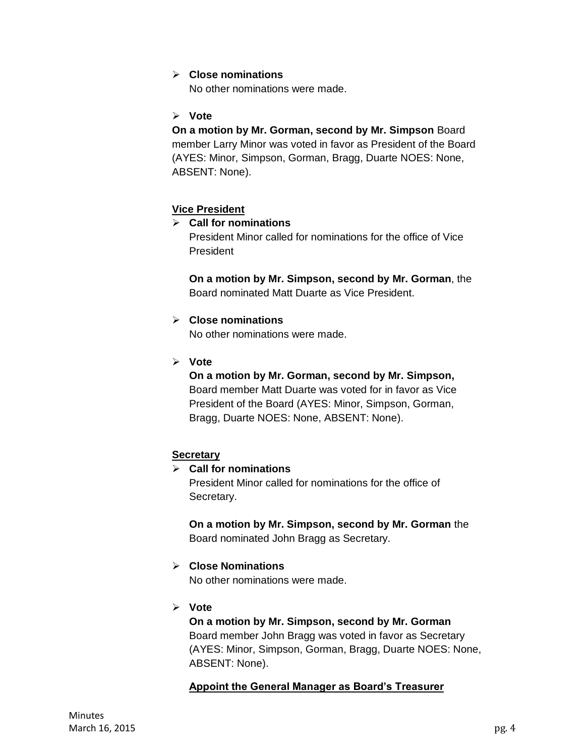#### **Close nominations**

No other nominations were made.

#### **Vote**

#### **On a motion by Mr. Gorman, second by Mr. Simpson** Board member Larry Minor was voted in favor as President of the Board (AYES: Minor, Simpson, Gorman, Bragg, Duarte NOES: None, ABSENT: None).

#### **Vice President**

#### **Call for nominations**

President Minor called for nominations for the office of Vice President

**On a motion by Mr. Simpson, second by Mr. Gorman**, the Board nominated Matt Duarte as Vice President.

#### **Close nominations**

No other nominations were made.

**Vote**

#### **On a motion by Mr. Gorman, second by Mr. Simpson,**  Board member Matt Duarte was voted for in favor as Vice

President of the Board (AYES: Minor, Simpson, Gorman, Bragg, Duarte NOES: None, ABSENT: None).

#### **Secretary**

# **Call for nominations**

President Minor called for nominations for the office of Secretary.

#### **On a motion by Mr. Simpson, second by Mr. Gorman** the Board nominated John Bragg as Secretary.

#### **Close Nominations**

No other nominations were made.

**Vote** 

**On a motion by Mr. Simpson, second by Mr. Gorman**  Board member John Bragg was voted in favor as Secretary (AYES: Minor, Simpson, Gorman, Bragg, Duarte NOES: None, ABSENT: None).

#### **Appoint the General Manager as Board's Treasurer**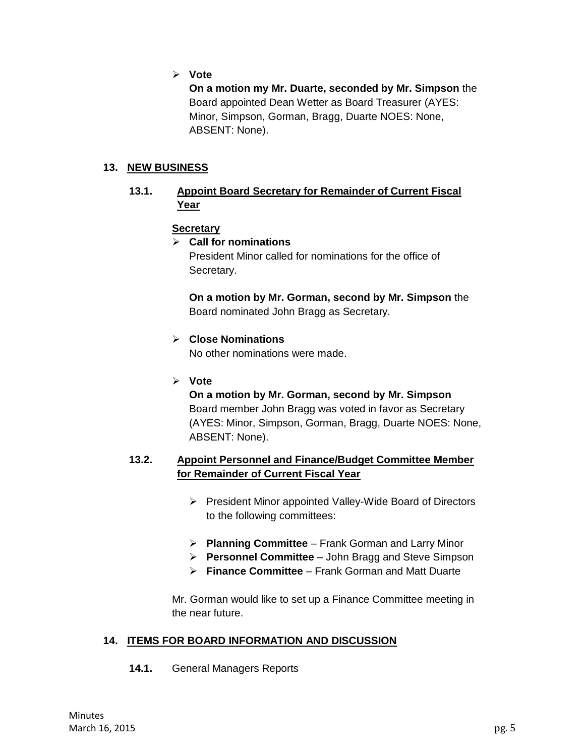**Vote**

**On a motion my Mr. Duarte, seconded by Mr. Simpson** the Board appointed Dean Wetter as Board Treasurer (AYES: Minor, Simpson, Gorman, Bragg, Duarte NOES: None, ABSENT: None).

#### **13. NEW BUSINESS**

#### **13.1. Appoint Board Secretary for Remainder of Current Fiscal Year**

#### **Secretary**

#### **Call for nominations**

President Minor called for nominations for the office of Secretary.

**On a motion by Mr. Gorman, second by Mr. Simpson** the Board nominated John Bragg as Secretary.

#### **Close Nominations**

No other nominations were made.

**Vote** 

**On a motion by Mr. Gorman, second by Mr. Simpson**  Board member John Bragg was voted in favor as Secretary (AYES: Minor, Simpson, Gorman, Bragg, Duarte NOES: None, ABSENT: None).

#### **13.2. Appoint Personnel and Finance/Budget Committee Member for Remainder of Current Fiscal Year**

- $\triangleright$  President Minor appointed Valley-Wide Board of Directors to the following committees:
- **Planning Committee** Frank Gorman and Larry Minor
- **Personnel Committee** John Bragg and Steve Simpson
- **Finance Committee** Frank Gorman and Matt Duarte

Mr. Gorman would like to set up a Finance Committee meeting in the near future.

#### **14. ITEMS FOR BOARD INFORMATION AND DISCUSSION**

**14.1.** General Managers Reports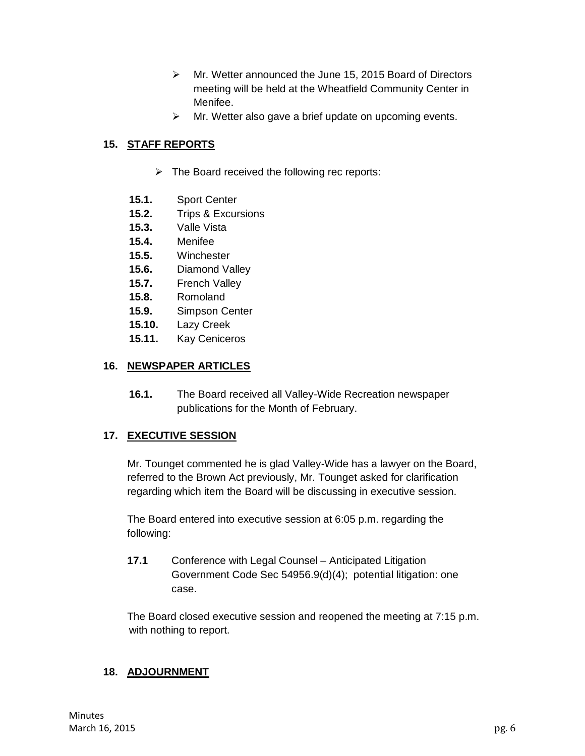- Mr. Wetter announced the June 15, 2015 Board of Directors meeting will be held at the Wheatfield Community Center in Menifee.
- $\triangleright$  Mr. Wetter also gave a brief update on upcoming events.

# **15. STAFF REPORTS**

- $\triangleright$  The Board received the following rec reports:
- **15.1.** Sport Center
- **15.2.** Trips & Excursions
- **15.3.** Valle Vista
- **15.4.** Menifee
- **15.5.** Winchester
- **15.6.** Diamond Valley
- **15.7.** French Valley
- **15.8.** Romoland
- **15.9.** Simpson Center
- **15.10.** Lazy Creek
- **15.11.** Kay Ceniceros

#### **16. NEWSPAPER ARTICLES**

**16.1.** The Board received all Valley-Wide Recreation newspaper publications for the Month of February.

#### **17. EXECUTIVE SESSION**

Mr. Tounget commented he is glad Valley-Wide has a lawyer on the Board, referred to the Brown Act previously, Mr. Tounget asked for clarification regarding which item the Board will be discussing in executive session.

The Board entered into executive session at 6:05 p.m. regarding the following:

**17.1** Conference with Legal Counsel – Anticipated Litigation Government Code Sec 54956.9(d)(4); potential litigation: one case.

The Board closed executive session and reopened the meeting at 7:15 p.m. with nothing to report.

#### **18. ADJOURNMENT**